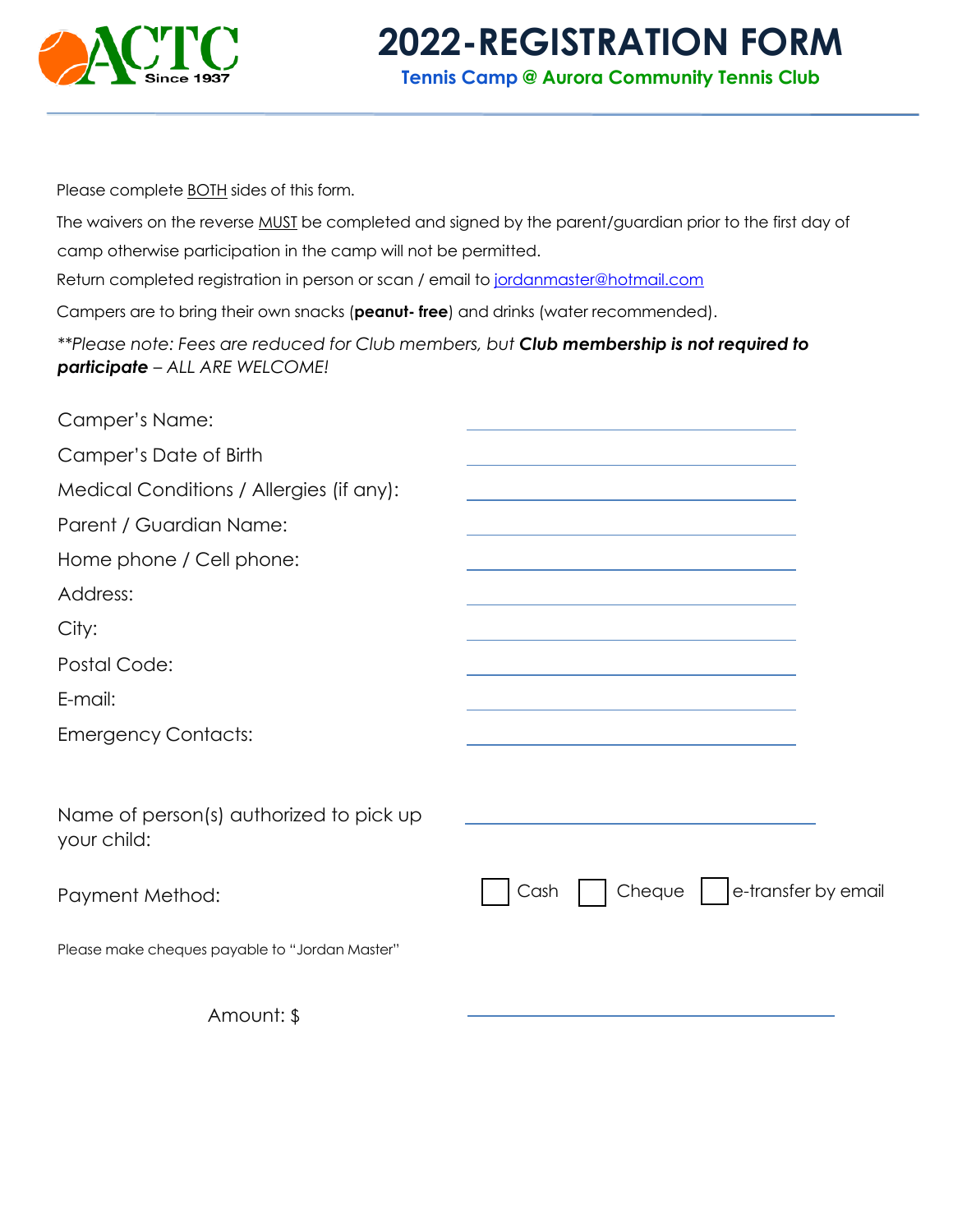

## **2022-REGISTRATION FORM**

**Tennis Camp @ Aurora Community Tennis Club**

Please complete **BOTH** sides of this form.

The waivers on the reverse MUST be completed and signed by the parent/guardian prior to the first day of camp otherwise participation in the camp will not be permitted.

Return completed registration in person or scan / email to jordanmaster@hotmail.com

Campers are to bring their own snacks (**peanut- free**) and drinks (water recommended).

*\*\*Please note: Fees are reduced for Club members, but Club membership is not required to participate – ALL ARE WELCOME!*

| Camper's Name:                                         |                                                                     |
|--------------------------------------------------------|---------------------------------------------------------------------|
| Camper's Date of Birth                                 |                                                                     |
| Medical Conditions / Allergies (if any):               |                                                                     |
| Parent / Guardian Name:                                |                                                                     |
| Home phone / Cell phone:                               |                                                                     |
| Address:                                               |                                                                     |
| City:                                                  |                                                                     |
| Postal Code:                                           |                                                                     |
| E-mail:                                                | <u> 1989 - Andrea Stadt Britain, amerikansk politik (* 1958)</u>    |
| <b>Emergency Contacts:</b>                             | <u> 1989 - Johann Stein, mars an deus Amerikaansk kommunister (</u> |
| Name of person(s) authorized to pick up<br>your child: |                                                                     |
| Payment Method:                                        | Cheque   e-transfer by email<br>Cash                                |
| Please make cheques payable to "Jordan Master"         |                                                                     |
| Amount: \$                                             |                                                                     |